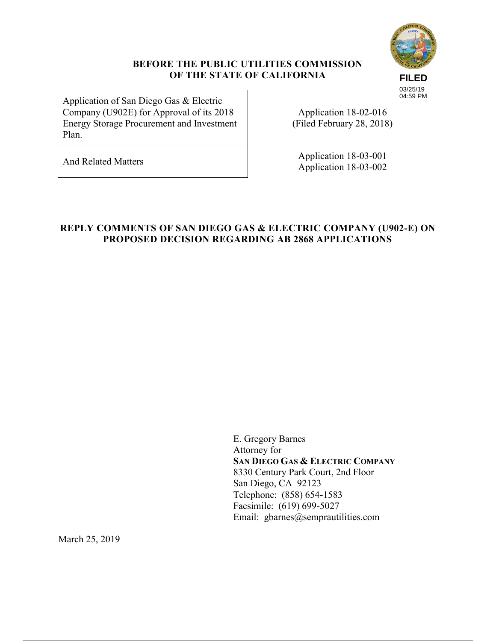# **FILED** 03/25/19 04:59 PM

#### **BEFORE THE PUBLIC UTILITIES COMMISSION OF THE STATE OF CALIFORNIA**

Application of San Diego Gas & Electric Company (U902E) for Approval of its 2018 Energy Storage Procurement and Investment Plan.

Application 18-02-016 (Filed February 28, 2018)

And Related Matters Application 18-03-001 Application 18-03-002

#### **REPLY COMMENTS OF SAN DIEGO GAS & ELECTRIC COMPANY (U902-E) ON PROPOSED DECISION REGARDING AB 2868 APPLICATIONS**

E. Gregory Barnes Attorney for **SAN DIEGO GAS & ELECTRIC COMPANY** 8330 Century Park Court, 2nd Floor San Diego, CA 92123 Telephone: (858) 654-1583 Facsimile: (619) 699-5027 Email: gbarnes@semprautilities.com

March 25, 2019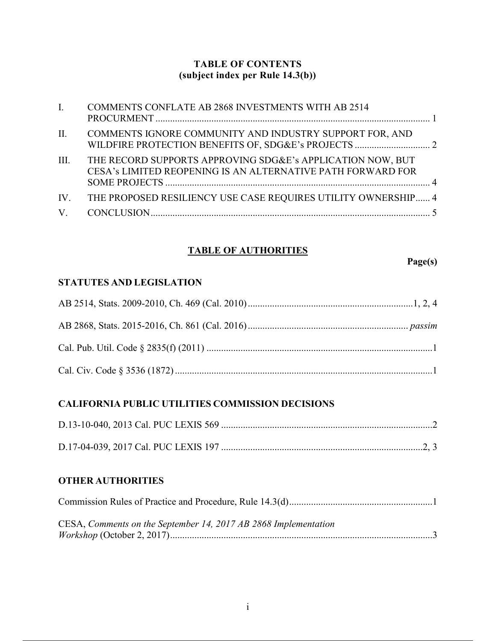### **TABLE OF CONTENTS (subject index per Rule 14.3(b))**

| $\mathbf{I}$ . | COMMENTS CONFLATE AB 2868 INVESTMENTS WITH AB 2514                                                                        |
|----------------|---------------------------------------------------------------------------------------------------------------------------|
| II.            | COMMENTS IGNORE COMMUNITY AND INDUSTRY SUPPORT FOR, AND                                                                   |
| III.           | THE RECORD SUPPORTS APPROVING SDG&E's APPLICATION NOW, BUT<br>CESA's LIMITED REOPENING IS AN ALTERNATIVE PATH FORWARD FOR |
|                | IV. THE PROPOSED RESILIENCY USE CASE REQUIRES UTILITY OWNERSHIP 4                                                         |
|                |                                                                                                                           |

## **TABLE OF AUTHORITIES**

**Page(s)**

## **STATUTES AND LEGISLATION**

## **CALIFORNIA PUBLIC UTILITIES COMMISSION DECISIONS**

#### **OTHER AUTHORITIES**

| CESA, Comments on the September 14, 2017 AB 2868 Implementation |
|-----------------------------------------------------------------|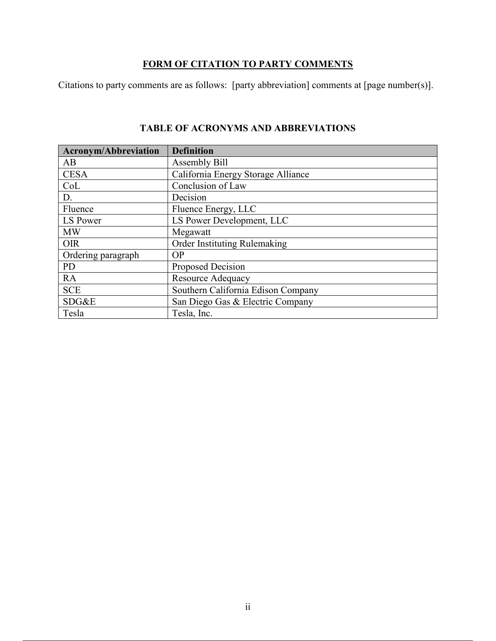## **FORM OF CITATION TO PARTY COMMENTS**

Citations to party comments are as follows: [party abbreviation] comments at [page number(s)].

| <b>Acronym/Abbreviation</b> | <b>Definition</b>                  |
|-----------------------------|------------------------------------|
| AB                          | Assembly Bill                      |
| <b>CESA</b>                 | California Energy Storage Alliance |
| CoL                         | Conclusion of Law                  |
| D.                          | Decision                           |
| Fluence                     | Fluence Energy, LLC                |
| LS Power                    | LS Power Development, LLC          |
| <b>MW</b>                   | Megawatt                           |
| <b>OIR</b>                  | Order Instituting Rulemaking       |
| Ordering paragraph          | <b>OP</b>                          |
| <b>PD</b>                   | Proposed Decision                  |
| <b>RA</b>                   | <b>Resource Adequacy</b>           |
| <b>SCE</b>                  | Southern California Edison Company |
| SDG&E                       | San Diego Gas & Electric Company   |
| Tesla                       | Tesla, Inc.                        |

## **TABLE OF ACRONYMS AND ABBREVIATIONS**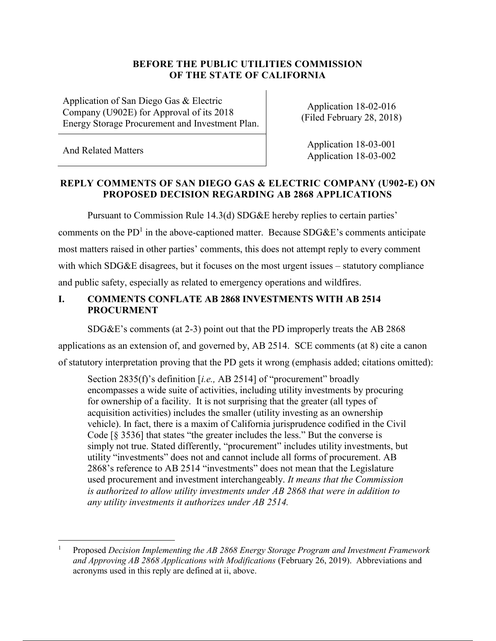#### **BEFORE THE PUBLIC UTILITIES COMMISSION OF THE STATE OF CALIFORNIA**

Application of San Diego Gas & Electric Company (U902E) for Approval of its 2018 Energy Storage Procurement and Investment Plan.

Application 18-02-016 (Filed February 28, 2018)

 $\overline{a}$ 

And Related Matters Application 18-03-001 Application 18-03-002

### **REPLY COMMENTS OF SAN DIEGO GAS & ELECTRIC COMPANY (U902-E) ON PROPOSED DECISION REGARDING AB 2868 APPLICATIONS**

Pursuant to Commission Rule 14.3(d) SDG&E hereby replies to certain parties' comments on the PD<sup>1</sup> in the above-captioned matter. Because SDG&E's comments anticipate most matters raised in other parties' comments, this does not attempt reply to every comment with which SDG&E disagrees, but it focuses on the most urgent issues – statutory compliance and public safety, especially as related to emergency operations and wildfires.

## **I. COMMENTS CONFLATE AB 2868 INVESTMENTS WITH AB 2514 PROCURMENT**

SDG&E's comments (at 2-3) point out that the PD improperly treats the AB 2868

applications as an extension of, and governed by, AB 2514. SCE comments (at 8) cite a canon of statutory interpretation proving that the PD gets it wrong (emphasis added; citations omitted):

Section 2835(f)'s definition [*i.e.,* AB 2514] of "procurement" broadly encompasses a wide suite of activities, including utility investments by procuring for ownership of a facility. It is not surprising that the greater (all types of acquisition activities) includes the smaller (utility investing as an ownership vehicle). In fact, there is a maxim of California jurisprudence codified in the Civil Code [§ 3536] that states "the greater includes the less." But the converse is simply not true. Stated differently, "procurement" includes utility investments, but utility "investments" does not and cannot include all forms of procurement. AB 2868's reference to AB 2514 "investments" does not mean that the Legislature used procurement and investment interchangeably. *It means that the Commission is authorized to allow utility investments under AB 2868 that were in addition to any utility investments it authorizes under AB 2514.*

<sup>1</sup> Proposed *Decision Implementing the AB 2868 Energy Storage Program and Investment Framework and Approving AB 2868 Applications with Modifications* (February 26, 2019). Abbreviations and acronyms used in this reply are defined at ii, above.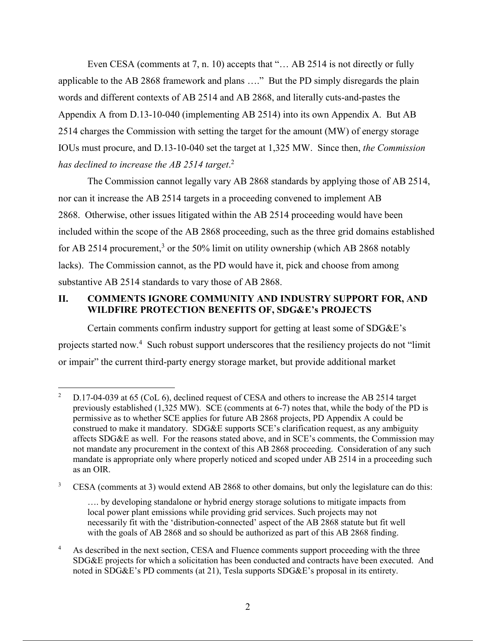Even CESA (comments at 7, n. 10) accepts that "... AB 2514 is not directly or fully applicable to the AB 2868 framework and plans …." But the PD simply disregards the plain words and different contexts of AB 2514 and AB 2868, and literally cuts-and-pastes the Appendix A from D.13-10-040 (implementing AB 2514) into its own Appendix A. But AB 2514 charges the Commission with setting the target for the amount (MW) of energy storage IOUs must procure, and D.13-10-040 set the target at 1,325 MW. Since then, *the Commission has declined to increase the AB 2514 target*. 2

The Commission cannot legally vary AB 2868 standards by applying those of AB 2514, nor can it increase the AB 2514 targets in a proceeding convened to implement AB 2868. Otherwise, other issues litigated within the AB 2514 proceeding would have been included within the scope of the AB 2868 proceeding, such as the three grid domains established for AB 2514 procurement,<sup>3</sup> or the 50% limit on utility ownership (which AB 2868 notably lacks). The Commission cannot, as the PD would have it, pick and choose from among substantive AB 2514 standards to vary those of AB 2868.

### **II. COMMENTS IGNORE COMMUNITY AND INDUSTRY SUPPORT FOR, AND WILDFIRE PROTECTION BENEFITS OF, SDG&E's PROJECTS**

Certain comments confirm industry support for getting at least some of SDG&E's projects started now.<sup>4</sup> Such robust support underscores that the resiliency projects do not "limit or impair" the current third-party energy storage market, but provide additional market

 $\overline{2}$ <sup>2</sup> D.17-04-039 at 65 (CoL 6), declined request of CESA and others to increase the AB 2514 target previously established (1,325 MW). SCE (comments at 6-7) notes that, while the body of the PD is permissive as to whether SCE applies for future AB 2868 projects, PD Appendix A could be construed to make it mandatory. SDG&E supports SCE's clarification request, as any ambiguity affects SDG&E as well. For the reasons stated above, and in SCE's comments, the Commission may not mandate any procurement in the context of this AB 2868 proceeding. Consideration of any such mandate is appropriate only where properly noticed and scoped under AB 2514 in a proceeding such as an OIR.

<sup>&</sup>lt;sup>3</sup> CESA (comments at 3) would extend AB 2868 to other domains, but only the legislature can do this:

<sup>….</sup> by developing standalone or hybrid energy storage solutions to mitigate impacts from local power plant emissions while providing grid services. Such projects may not necessarily fit with the 'distribution-connected' aspect of the AB 2868 statute but fit well with the goals of AB 2868 and so should be authorized as part of this AB 2868 finding.

<sup>&</sup>lt;sup>4</sup> As described in the next section, CESA and Fluence comments support proceeding with the three SDG&E projects for which a solicitation has been conducted and contracts have been executed. And noted in SDG&E's PD comments (at 21), Tesla supports SDG&E's proposal in its entirety.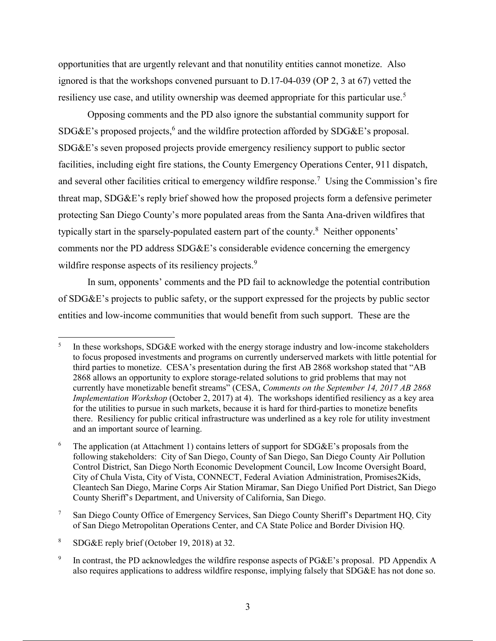opportunities that are urgently relevant and that nonutility entities cannot monetize. Also ignored is that the workshops convened pursuant to D.17-04-039 (OP 2, 3 at 67) vetted the resiliency use case, and utility ownership was deemed appropriate for this particular use.<sup>5</sup>

Opposing comments and the PD also ignore the substantial community support for SDG&E's proposed projects,<sup>6</sup> and the wildfire protection afforded by SDG&E's proposal. SDG&E's seven proposed projects provide emergency resiliency support to public sector facilities, including eight fire stations, the County Emergency Operations Center, 911 dispatch, and several other facilities critical to emergency wildfire response.<sup>7</sup> Using the Commission's fire threat map, SDG&E's reply brief showed how the proposed projects form a defensive perimeter protecting San Diego County's more populated areas from the Santa Ana-driven wildfires that typically start in the sparsely-populated eastern part of the county.<sup>8</sup> Neither opponents' comments nor the PD address SDG&E's considerable evidence concerning the emergency wildfire response aspects of its resiliency projects.<sup>9</sup>

In sum, opponents' comments and the PD fail to acknowledge the potential contribution of SDG&E's projects to public safety, or the support expressed for the projects by public sector entities and low-income communities that would benefit from such support. These are the

 $\overline{a}$ 

<sup>5</sup> In these workshops, SDG&E worked with the energy storage industry and low-income stakeholders to focus proposed investments and programs on currently underserved markets with little potential for third parties to monetize. CESA's presentation during the first AB 2868 workshop stated that "AB 2868 allows an opportunity to explore storage-related solutions to grid problems that may not currently have monetizable benefit streams" (CESA, *Comments on the September 14, 2017 AB 2868 Implementation Workshop* (October 2, 2017) at 4). The workshops identified resiliency as a key area for the utilities to pursue in such markets, because it is hard for third-parties to monetize benefits there. Resiliency for public critical infrastructure was underlined as a key role for utility investment and an important source of learning.

<sup>&</sup>lt;sup>6</sup> The application (at Attachment 1) contains letters of support for SDG&E's proposals from the following stakeholders: City of San Diego, County of San Diego, San Diego County Air Pollution Control District, San Diego North Economic Development Council, Low Income Oversight Board, City of Chula Vista, City of Vista, CONNECT, Federal Aviation Administration, Promises2Kids, Cleantech San Diego, Marine Corps Air Station Miramar, San Diego Unified Port District, San Diego County Sheriff's Department, and University of California, San Diego.

<sup>7</sup> San Diego County Office of Emergency Services, San Diego County Sheriff's Department HQ, City of San Diego Metropolitan Operations Center, and CA State Police and Border Division HQ.

<sup>8</sup> SDG&E reply brief (October 19, 2018) at 32.

<sup>9</sup> In contrast, the PD acknowledges the wildfire response aspects of PG&E's proposal. PD Appendix A also requires applications to address wildfire response, implying falsely that SDG&E has not done so.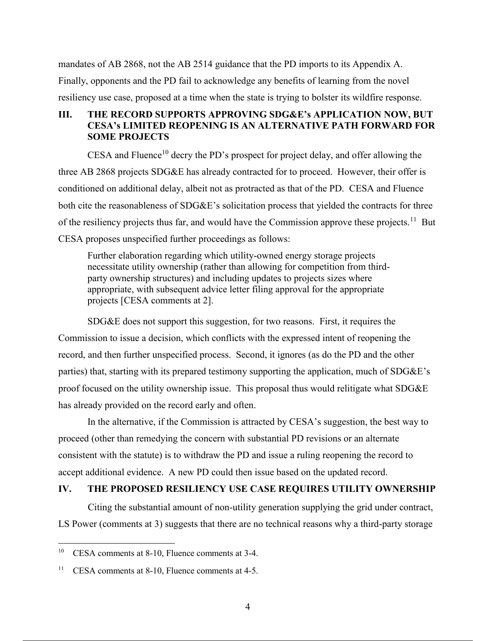mandates of AB 2868, not the AB 2514 guidance that the PD imports to its Appendix A. Finally, opponents and the PD fail to acknowledge any benefits of learning from the novel resiliency use case, proposed at a time when the state is trying to bolster its wildfire response.

#### **III. THE RECORD SUPPORTS APPROVING SDG&E's APPLICATION NOW, BUT CESA's LIMITED REOPENING IS AN ALTERNATIVE PATH FORWARD FOR SOME PROJECTS**

CESA and Fluence<sup>10</sup> decry the PD's prospect for project delay, and offer allowing the three AB 2868 projects SDG&E has already contracted for to proceed. However, their offer is conditioned on additional delay, albeit not as protracted as that of the PD. CESA and Fluence both cite the reasonableness of SDG&E's solicitation process that yielded the contracts for three of the resiliency projects thus far, and would have the Commission approve these projects.<sup>11</sup> But CESA proposes unspecified further proceedings as follows:

Further elaboration regarding which utility-owned energy storage projects necessitate utility ownership (rather than allowing for competition from thirdparty ownership structures) and including updates to projects sizes where appropriate, with subsequent advice letter filing approval for the appropriate projects [CESA comments at 2].

SDG&E does not support this suggestion, for two reasons. First, it requires the Commission to issue a decision, which conflicts with the expressed intent of reopening the record, and then further unspecified process. Second, it ignores (as do the PD and the other parties) that, starting with its prepared testimony supporting the application, much of SDG&E's proof focused on the utility ownership issue. This proposal thus would relitigate what SDG&E has already provided on the record early and often.

In the alternative, if the Commission is attracted by CESA's suggestion, the best way to proceed (other than remedying the concern with substantial PD revisions or an alternate consistent with the statute) is to withdraw the PD and issue a ruling reopening the record to accept additional evidence. A new PD could then issue based on the updated record.

#### **IV. THE PROPOSED RESILIENCY USE CASE REQUIRES UTILITY OWNERSHIP**

Citing the substantial amount of non-utility generation supplying the grid under contract, LS Power (comments at 3) suggests that there are no technical reasons why a third-party storage

 $\overline{a}$ 

<sup>10</sup> CESA comments at 8-10, Fluence comments at 3-4.

<sup>11</sup> CESA comments at 8-10, Fluence comments at 4-5.